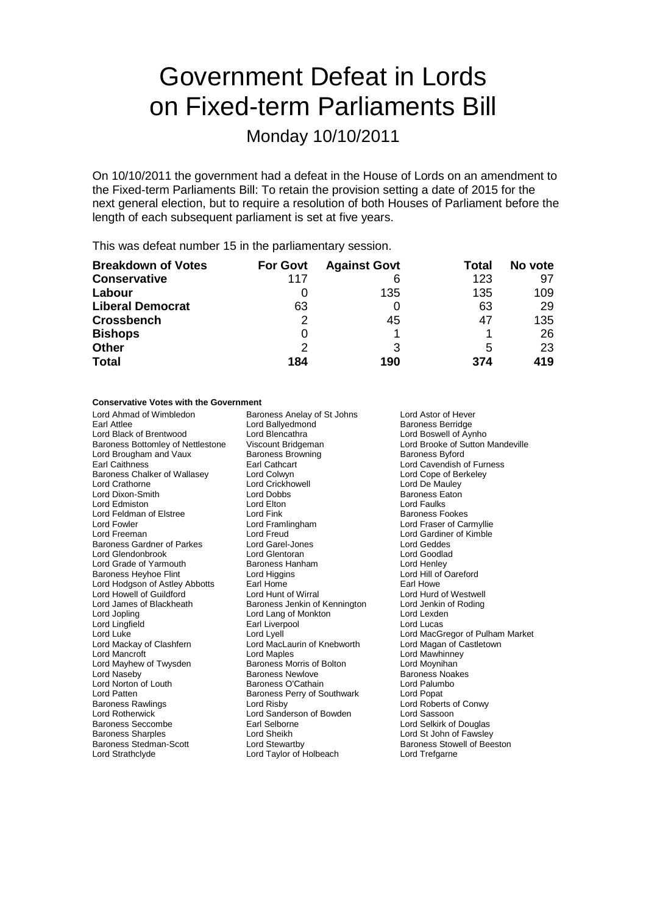# Government Defeat in Lords on Fixed-term Parliaments Bill

Monday 10/10/2011

On 10/10/2011 the government had a defeat in the House of Lords on an amendment to the Fixed-term Parliaments Bill: To retain the provision setting a date of 2015 for the next general election, but to require a resolution of both Houses of Parliament before the length of each subsequent parliament is set at five years.

This was defeat number 15 in the parliamentary session.

| <b>Breakdown of Votes</b> | <b>For Govt</b> | <b>Against Govt</b> | Total | No vote |
|---------------------------|-----------------|---------------------|-------|---------|
| <b>Conservative</b>       | 117             | 6                   | 123   | 97      |
| Labour                    |                 | 135                 | 135   | 109     |
| <b>Liberal Democrat</b>   | 63              |                     | 63    | 29      |
| <b>Crossbench</b>         | 2               | 45                  | 47    | 135     |
| <b>Bishops</b>            | 0               |                     |       | 26      |
| <b>Other</b>              | 2               | 3                   | 5     | 23      |
| <b>Total</b>              | 184             | 190                 | 374   | 419     |

## **Conservative Votes with the Government**

Lord Ahmad of Wimbledon Baroness Anelay of St Johns Lord Astor of Hever<br>
Lord Ballyedmond Baroness Berridge<br>
Lord Ballyedmond Baroness Berridge Lord Black of Brentwood Lord Blencathra **Lord Boswell of Aynho**<br>
Baroness Bottomley of Nettlestone Viscount Bridgeman **Lord Brooke of Sutton Mandeville** Baroness Bottomley of Nettlestone Lord Brougham and Vaux Baroness Browning Baroness Byford Earl Caithness Earl Cathcart Lord Cavendish of Furness Baroness Chalker of Wallasey Lord Colwyn Colwyn Lord Core of Berkeley<br>
Lord Crathorne Core Lord Crickhowell Lord Crick Lord De Mauley Lord Crathorne Lord Crickhowell Lord Crickhowell Lord De Mauley<br>
Lord Dixon-Smith Lord Dobbs<br>
Lord Dobbs Caton Baroness Eaton Lord Dixon-Smith Lord Dobb<br>
Lord Edmiston Lord Elton Lord Feldman of Elstree **Lord Fink Example 2** Extra Baroness Fookes Lord Fowler Lord Framlingham Lord Fraser of Carmyllie Baroness Gardner of Parkes Lord Garel-Jones Lord Geddes Lord Glendonbrook Lord Glentoran Lord Goodlad Lord Grade of Yarmouth **Baroness Hanham** Lord Henley<br>
Baroness Hevhoe Flint Lord Higgins Lord Higgins Lord Hill of Oareford Baroness Heyhoe Flint Lord Hodgson of Astley Abbotts Earl Home Earl Howe Lord Howell of Guildford Lord Hunt of Wirral Lord Hurd of Westwell Lord James of Blackheath Baroness Jenkin of Kennington Lord Jenkin of Kennington Lord Lexden<br>Lord Jopling Lord Lexden Lord Jopling Lord Lord Lang of Monkton Lord Lexden<br>
Lord Lingfield Lord Lucas<br>
Earl Liverpool Constant Lord Lucas Lord Lingfield **Earl Liverpool**<br>
Lord Luke **Earl** Lord Lyell Lord Luke Lord Lyell Lord Lyell Lord Lord MacGregor of Pulham Market<br>
Lord Mackay of Clashfern Lord MacLaurin of Knebworth Lord Magan of Castletown Lord Mancroft Lord Maples Lord Mawhinney Lord Mayhew of Twysden Baroness Morris of Bolton Lord Moynihan<br>
Lord Naseby Baroness Newlove Baroness Newlove Baroness Noakes Lord Norton of Louth **Baroness O'Cathain** Lord Palum<br>Lord Patten **Baroness Perry of Southwark** Lord Popat Baroness Rawlings Lord Risby Lord Roberts of Conwy Lord Rotherwick Lord Sanderson of Bowden Lord Sassoon Baroness Seccombe Earl Selborne Lord Selkirk of Douglas Baroness Sharples Lord Sheikh Lord St John of Fawsley

Lord Ballyedmond<br>
Lord Blencathra<br>
Lord Boswell of Avnho Lord Freud Text Cord Gardiner of Kimble<br>
Lord Garel-Jones<br>
Lord Gardes Lord MacLaurin of Knebworth Baroness Newlove Baroness Noakes<br>Baroness O'Cathain Baroness Noakes Baroness Perry of Southwark Lord Strathclyde **Lord Taylor of Holbeach** Lord Trefgarne

Lord Faulks Baroness Stowell of Beeston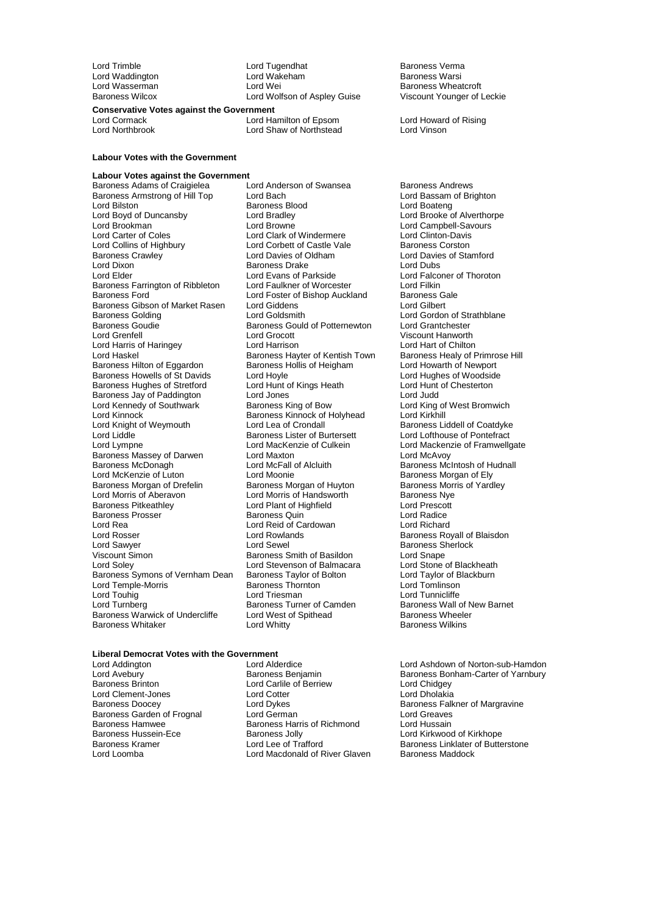Lord Waddington Lord Wakeham Baroness Warshington Lord Wars<br>Lord Wasserman Baroness Warshington

Lord Trimble Lord Tugendhat Cord Trimble Lord Tugendhat Cord Trimble Stermanness Vermanness Vermanness Warsi<br>Cord Waddington Lord Wakeham Cord The Baroness Warsi Baroness Wilcox Lord Wolfson of Aspley Guise

## **Conservative Votes against the Government**

Lord Cormack Lord Hamilton of Epsom Lord Howard of Rising Lord Northbrook Lord Shaw of Northstead Lord Vinson

## **Labour Votes with the Government**

**Labour Votes against the Government** Baroness Adams of Craigielea Lord Anderson of Swansea Baroness Andrews<br>Baroness Armstrong of Hill Top Lord Bach Cord Bach Lord Bassam of Brighton Baroness Armstrong of Hill Top Lord Bach Lord Bassam (Caroness Armstrong of Hill Top Lord Bach Lord Bach Lord Boatena Lord Boyd of Duncansby Lord Bradley Lord Brooke of Alverthorpe Lord Brookman **Lord Brookman** Lord Browne Lord Campbell-Savours<br>
Lord Carter of Coles **Lord Clark of Windermere** Lord Clinton-Davis Lord Carter of Coles<br>
Lord Clark of Windermere Lord Clinton-Davis<br>
Lord Collins of Highbury Lord Corbett of Castle Vale Baroness Corston Lord Collins of Highbury Lord Corbett of Castle Vale<br>
Baroness Crawley Lord Davies of Oldham Baroness Crawley **Example 2** Lord Davies of Oldham **Lord Davies of Stamford Lord Davies of Stamford Corpus**<br>
Lord Dixon Lord Dubs Lord Dixon **Consults Consults Baroness Drake**<br>
Lord Elder **Consults Lord Evans of Parkside** Baroness Farrington of Ribbleton Lord Faulkner of Worcester Lord Filkin<br>Baroness Ford Lord Foster of Bishop Auckland Baroness Gale Baroness Gibson of Market Rasen Lord Giddens<br>Baroness Golding Lord Goldsmith Baroness Golding Lord Gordon Lord Goldsmith<br>Baroness Golding Lord Gordon Cordon of Strathblane<br>Baroness Gould of Potternewton Lord Grantchester Baroness Goudie Baroness Gould of Potternewton<br>
Baroness Goudie Baroness Gould of Potternewton Lord Harris of Haringey Lord Harrison Lord Hart of Chilton Baroness Hilton of Eggardon Baroness Hollis of Heigham Lord Howarth of Newport<br>Baroness Howells of St Davids Lord Hoyle Lord Hord Hughes of Woodside Baroness Howells of St Davids<br>
Baroness Hughes of Stretford Lord Hunt of Kings Heath Lord Hunt of Chesterton Baroness Hughes of Stretford Lord Hunt of Kings Heath Lord Hunt Cord Hunt of Kings Heath Lord Hunt Baroness Jav of Paddington Lord Junes Baroness Jay of Paddington<br>
Lord Kennedy of Southwark<br>
Baroness King of Bow Lord Kennedy of Southwark Baroness King of Bow Lord King of West Bromwich<br>Lord Kinnock Lord Kirkhill Lord Kinnock<br>
Lord Knight of Weymouth<br>
Lord Lea of Crondall Lord Knight of Weymouth Lord Lea of Crondall Baroness Liddell of Coatdyke<br>Lord Liddle Baroness Lister of Burtersett Lord Lordhouse of Pontefract Lord Liddle **Constructs Lister of Burtersett** Lord Lofthouse of Pontefract<br>Lord Lord MacKenzie of Culkein Lord Mackenzie of Framwello Baroness Massey of Darwen Lord Maxton<br>
Baroness McDonagh Lord McFall of Alcluith Baroness McDonagh **Lord McFall of Alcluith** Baroness McIntosh of Hudnall<br>
Lord McKenzie of Luton Lord Moonie **Baroness Morgan of Ely** Lord McKenzie of Luton **Lord Moonie** Lord Moonie **Baroness Morgan of Ely**<br>Baroness Morgan of Drefelin Baroness Morgan of Huvton Baroness Morris of Yardlev Baroness Morgan of Drefelin Baroness Morgan of Huyton Baroness Morris Cord Morris of Aberavon<br>
Baroness Nue Baroness Nue Lord Morris of Aberavon Lord Morris of Handsworth Baroness Nye Baroness Prosser <sup>1</sup> Baroness Quin 1996 Baroness Quin Lord Radice<br>
Lord Rea 1997 Lord Reid of Cardowan<br>
Lord Rea 1998 Lord Richard Lord Rea<br>
Lord Rosser<br>
Lord Royser Lord Rosser **Lord Rowlands Baroness Royall of Blaisdon**<br>
Lord Sawer **Lord Sewel**<br>
Lord Sewel **Baroness Sherlock** Lord Sawyer **Lord Sewel Sexual Sexual Sexual Sexual Baroness** Sherlock<br>
Viscount Simon Clear Baroness Smith of Basildon Lord Snape Viscount Simon **Carolic State Baroness Smith of Basildon** Lord Snape<br>
Lord Soley **Communist Communist Communist Communist Communist Communist Communist Communist Communist Communist**<br>
Lord Soley Communist Communist Communi Baroness Symons of Vernham Dean Baroness Taylor of Bolton Lord Taylor of B<br>Lord Temple-Morris Baroness Thornton Lord Tomlinson Lord Temple-Morris and Baroness Thorn<br>1997 Lord Touhing Lord Triesman Lord Turnberg **Baroness Turner of Camden** Baroness Wall of New Baroness Wall of New Baroness Wheeler<br>Baroness Warwick of Undercliffe Lord West of Spithead **Baroness Wheeler Baroness Warwick of Undercliffe** Lord West of Baroness Whitaker

Baroness Blood Lord Evans of Parkside<br>
Lord Faulkner of Worcester<br>
Lord Filkin Lord Foster of Bishop Auckland Baroness Galendary<br>
Baroness Galendary<br>
Lord Gilbert Lord Grocott **Viscount Hanworth**<br>
Lord Harrison<br>
Lord Harrison Baroness Hayter of Kentish Town Baroness Healy of Primro<br>Baroness Hollis of Heigham Lord Howarth of Newport Lord MacKenzie of Culkein Lord Mackenzie of Framwellgate<br>
Lord Maxton Lord McAvov Lord Plant of Highfield Lord Prescot<br>Baroness Quin de Lord Radice Lord Stevenson of Balmacara<br>
Baroness Taylor of Bolton<br>
Lord Taylor of Blackburn<br>
Lord Taylor of Blackburn

# Baroness Wheatcroft<br>Viscount Younger of Leckie

Lord Tunnicliffe<br>Baroness Wall of New Barnet Baroness Wilkins

# **Liberal Democrat Votes with the Government**

- Lord Clement-Jones<br>
Baroness Doocev<br>
Lord Dykes Baroness Garden of Frognal
- Lord Addington Lord Alderdice Lord Ashdown of Norton-sub-Hamdon Lord Carlile of Berriew Lord Chidgey<br>
Lord Cotter Lord Chidgey<br>
Lord Cholakia Baroness Hamwee Baroness Harris of Richmond Lord Hussain<br>Baroness Hussein-Ece Baroness Jolly Baroness Jolly Lord Kirkwood Baroness Hussein-Ece **Baroness Jolly** Baroness Jolly Lord Kirkwood of Kirkhope<br>Baroness Kramer **Lord Lee of Trafford** Baroness Linklater of Butte Lord Macdonald of River Glaven

Lord Avebury Baroness Benjamin Baroness Bonham-Carter of Yarnbury Baroness Doocey **Lord Dykes** Lord Dykes Baroness Falkner of Margravine<br>Baroness Garden of Frognal Lord German Lord Greaves Baroness Kramer Lord Lee of Trafford Baroness Linklater of Butterstone<br>
Lord Lord Macdonald of River Glaven Baroness Maddock<br>
Lord Macdonald of River Glaven Baroness Maddock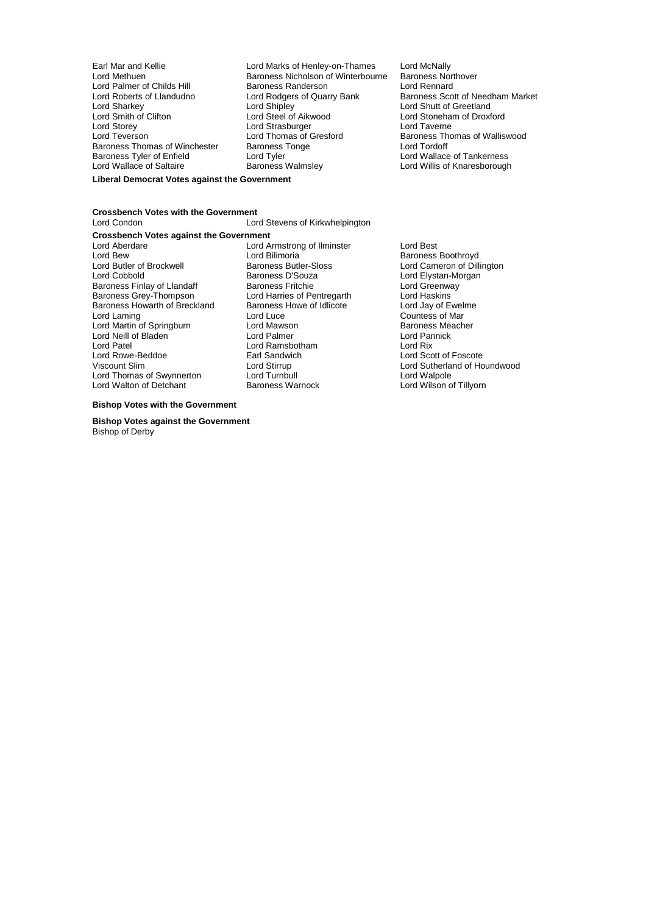Lord Palmer of Childs Hill<br>Lord Roberts of Llandudno Lord Storey **Lord Strasburger Lord Strasburger Lord Teverson**<br>
Lord Teverson **Lord Thomas of Gresford** Baroness Tyler of Enfield Lord Tyler<br>
Lord Wallace of Saltaire Baroness Walmsley

Earl Mar and Kellie **Lord Marks of Henley-on-Thames** Lord McNally<br>
Lord Methuen **Lord Marks Communist Communist Communist Communist Communist Communist Communist Communist Commun** Baroness Nicholson of Winterbourne Baroness Northourne<br>Baroness Randerson Lord Rennard Lord Roberts of Llandudno<br>
Lord Roberts of Llandudno<br>
Lord Sharkey Lord Shipley Lord Shutt of Greetland Lord Sharkey **Lord Shipley** Lord Shipley **Lord Shutt of Greetland**<br>
Lord Smith of Clifton **Lord Steel of Aikwood** Lord Stoneham of Droxf Lord Smith of Clifton Lord Steel of Aikwood Lord Stoneham of Droxford Lord Thomas of Gresford<br>
Baroness Thomas of Gresford<br>
Baroness Tonge<br>
Lord Tordoff Baroness Thomas of Winchester Baroness Tonge Thomas Lord Tordoff<br>
Baroness Tyler of Enfield

Lord Tyler

Lord Lord Tord Wallace of Tankerness Lord Wallace of Saltaire **Baroness Walmsley Communist Cord Willis of Knaresborough** 

#### **Liberal Democrat Votes against the Government**

# **Crossbench Votes with the Government**

Lord Stevens of Kirkwhelpington **Crossbench Votes against the Government**<br>I ord Aberdare Lord A Lord Aberdare Lord Armstrong of Ilminster Lord Best Lord Bew Lord Bilimoria Communication of Baroness Boothroyd<br>
Lord Butler of Brockwell Baroness Butler-Sloss Communication Cameron of Dilli Lord Butler of Brockwell **Baroness Butler-Sloss** Lord Cameron of Dillington<br>Lord Cobbold **Baroness D'Souza** Lord Elvstan-Morgan Baroness Finlay of Llandaff **Baroness Fritchie** Lord Greenway<br>
Baroness Grey-Thompson Lord Harries of Pentregarth Lord Haskins Baroness Howarth of Breckland<br>Lord Laming Lord Martin of Springburn Lord Mawson and Baroness Meanus Baroness Meanus Lord Pannick<br>
Lord Neill of Bladen and Lord Palmer and Lord Pannick Lord Neill of Bladen **Container Lord Palmer Lord Pannick** Lord Pannick Lord Pannick Lord Rix<br>
Lord Patel **Container Lord Research Container Container Lord Rix** Lord Patel **Lord Ramsbotham**<br>
Lord Rowe-Beddoe **Communist Contains Container Container**<br>
Larl Sandwich Lord Rowe-Beddoe Earl Sandwich Lord Scott of Foscote Lord Thomas of Swynnerton Lord Turnbull Lord Turnbull Lord Walpole Lord Walpole<br>
Lord Walton of Detchant Baroness Warnock Lord Wilson of Tillyorn Lord Walton of Detchant

# Lord Harries of Pentregarth Lord Haskins<br>
Baroness Howe of Idlicote Lord Jay of Ewelme Lord Luce Countess of Mar<br>
Lord Mawson Countess Meacher

Lord Elystan-Morgan Viscount Slim Lord Stirrup Lord Sutherland of Houndwood

#### **Bishop Votes with the Government**

**Bishop Votes against the Government** Bishop of Derby